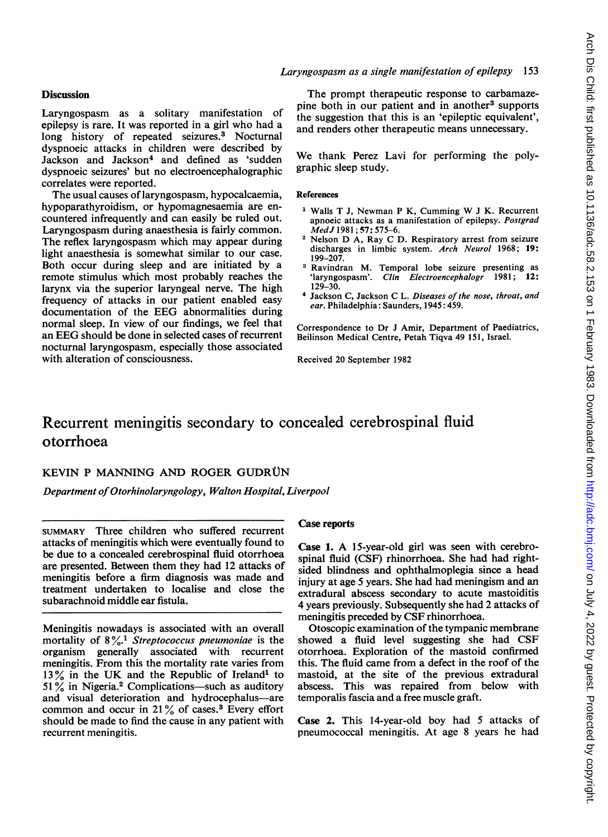## **Discussion**

Laryngospasm as a solitary manifestation of epilepsy is rare. It was reported in a girl who had a long history of repeated seizures.<sup>3</sup> Nocturnal dyspnoeic attacks in children were described by Jackson and Jackson<sup>4</sup> and defined as 'sudden dyspnoeic seizures' but no electroencephalographic correlates were reported.

The usual causes of laryngospasm, hypocalcaemia, hypoparathyroidism, or hypomagnesaemia are encountered infrequently and can easily be ruled out. Laryngospasm during anaesthesia is fairly common. The reflex laryngospasm which may appear during light anaesthesia is somewhat similar to our case. Both occur during sleep and are initiated by a remote stimulus which most probably reaches the larynx via the superior laryngeal nerve. The high frequency of attacks in our patient enabled easy documentation of the EEG abnormalities during normal sleep. In view of our findings, we feel that an EEG should be done in selected cases of recurrent nocturnal laryngospasm, especially those associated with alteration of consciousness.

# Laryngospasm as a single manifestation of epilepsy 153

The prompt therapeutic response to carbamazepine both in our patient and in another<sup>3</sup> supports the suggestion that this is an 'epileptic equivalent', and renders other therapeutic means unnecessary.

We thank Perez Lavi for performing the polygraphic sleep study.

#### References

- Walls <sup>T</sup> J, Newman <sup>P</sup> K, Cumming W <sup>J</sup> K. Recurrent apnoeic attacks as a manifestation of epilepsy. Postgrad MedJ 1981; 57: 575-6.
- <sup>2</sup> Nelson D A, Ray C D. Respiratory arrest from seizure discharges in limbic system. Arch Neurol 1968; 19: 199-207.
- <sup>3</sup> Ravindran M. Temporal lobe seizure presenting as 'laryngospasm'. Clin Electroencephalogr 1981; 12: 129-30.
- <sup>4</sup> Jackson C, Jackson C L. Diseases of the nose, throat, and ear. Philadelphia: Saunders, 1945: 459.

Correspondence to Dr J Amir, Department of Paediatrics, Beilinson Medical Centre, Petah Tiqva 49 151, Israel.

Received 20 September 1982

# Recurrent meningitis secondary to concealed cerebrospinal fluid otorrhoea

# KEVIN P MANNING AND ROGER GUDRÜN

Department of Otorhinolaryngology, Walton Hospital, Liverpool

SUMMARY Three children who suffered recurrent attacks of meningitis which were eventually found to be due to a concealed cerebrospinal fluid otorrhoea are presented. Between them they had 12 attacks of meningitis before a firm diagnosis was made and treatment undertaken to localise and close the subarachnoid middle ear fistula.

Meningitis nowadays is associated with an overall mortality of  $8\frac{9}{6}$ .<sup>1</sup> Streptococcus pneumoniae is the organism generally associated with recurrent meningitis. From this the mortality rate varies from 13% in the UK and the Republic of Ireland<sup>1</sup> to  $51\%$  in Nigeria.<sup>2</sup> Complications—such as auditory and visual deterioration and hydrocephalus-are common and occur in  $21\%$  of cases.<sup>3</sup> Every effort should be made to find the cause in any patient with recurrent meningitis.

#### Case reports

Case 1. A 15-year-old girl was seen with cerebrospinal fluid (CSF) rhinorrhoea. She had had rightsided blindness and ophthalmoplegia since a head injury at age 5 years. She had had meningism and an extradural abscess secondary to acute mastoiditis 4 years previously. Subsequently she had 2 attacks of meningitis preceded by CSF rhinorrhoea.

Otoscopic examination of the tympanic membrane showed a fluid level suggesting she had CSF otorrhoea. Exploration of the mastoid confirmed this. The fluid came from a defect in the roof of the mastoid, at the site of the previous extradural abscess. This was repaired from below with temporalis fascia and a free muscle graft.

Case 2. This 14-year-old boy had 5 attacks of pneumococcal meningitis. At age 8 years he had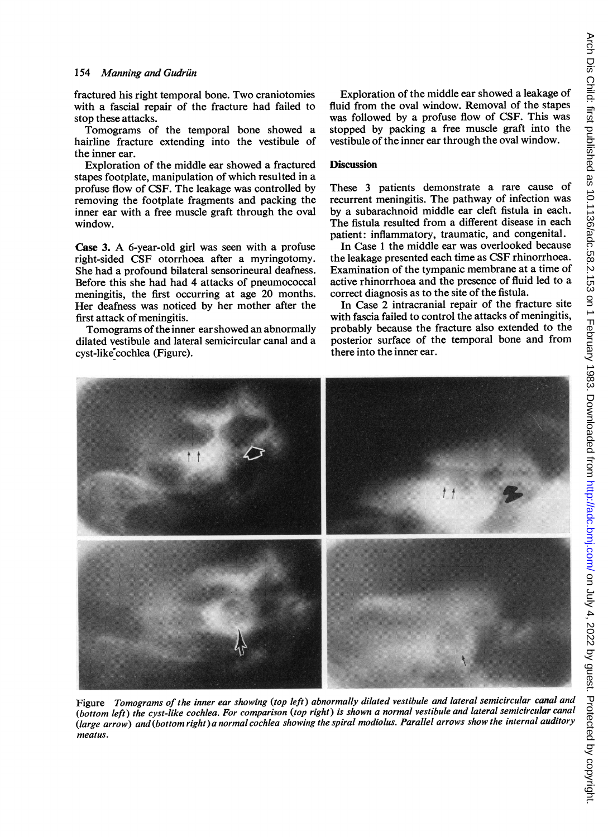fractured his right temporal bone. Two craniotomies with a fascial repair of the fracture had failed to stop these attacks.

Tomograms of the temporal bone showed a hairline fracture extending into the vestibule of the inner ear.

Exploration of the middle ear showed a fractured stapes footplate, manipulation of which resulted in a profuse flow of CSF. The leakage was controlled by removing the footplate fragments and packing the inner ear with a free muscle graft through the oval window.

Case 3. A 6-year-old girl was seen with <sup>a</sup> profuse right-sided CSF otorrhoea after a myringotomy. She had a profound bilateral sensorineural deafness. Before this she had had 4 attacks of pneumococcal meningitis, the first occurring at age 20 months. Her deafness was noticed by her mother after the first attack of meningitis.

Tomograms of the inner ear showed an abnormally dilated vestibule and lateral semicircular canal and a cyst-like cochlea (Figure).

Exploration of the middle ear showed a leakage of fluid from the oval window. Removal of the stapes was followed by a profuse flow of CSF. This was stopped by packing a free muscle graft into the vestibule of the inner ear through the oval window.

### **Discussion**

These 3 patients demonstrate a rare cause of recurrent meningitis. The pathway of infection was by a subarachnoid middle ear cleft fistula in each. The fistula resulted from a different disease in each patient: inflammatory, traumatic, and congenital.

In Case <sup>1</sup> the middle ear was overlooked because the leakage presented each time as CSF rhinorrhoea. Examination of the tympanic membrane at a time of active rhinorrhoea and the presence of fluid led to a correct diagnosis as to the site of the fistula.

In Case 2 intracranial repair of the fracture site with fascia failed to control the attacks of meningitis, probably because the fracture also extended to the posterior surface of the temporal bone and from there into the inner ear.



Figure Tomograms of the inner ear showing (top left) abnormally dilated vestibule and lateral semicircular canal and (bottom left) the cyst-like cochlea. For comparison (top right) is shown a normal vestibule and lateral semicircular canal (large arrow) and (bottom right)a normal cochlea showing the spiral modiolus. Parallel arrows show the internal auditory meatus.